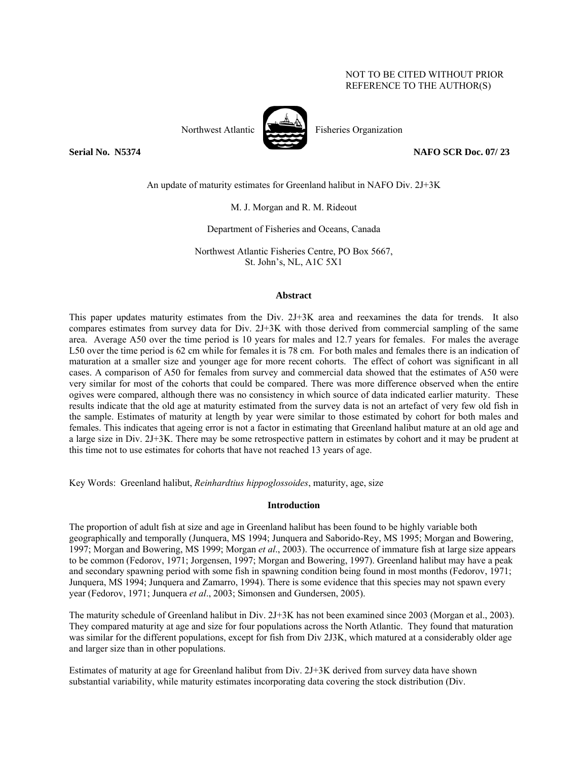## NOT TO BE CITED WITHOUT PRIOR REFERENCE TO THE AUTHOR(S)



Northwest Atlantic **No. 1989** Fisheries Organization

**Serial No. N5374 NAFO SCR Doc. 07/ 23** 

An update of maturity estimates for Greenland halibut in NAFO Div. 2J+3K

M. J. Morgan and R. M. Rideout

Department of Fisheries and Oceans, Canada

Northwest Atlantic Fisheries Centre, PO Box 5667, St. John's, NL, A1C 5X1

### **Abstract**

This paper updates maturity estimates from the Div. 2J+3K area and reexamines the data for trends. It also compares estimates from survey data for Div. 2J+3K with those derived from commercial sampling of the same area. Average A50 over the time period is 10 years for males and 12.7 years for females. For males the average L50 over the time period is 62 cm while for females it is 78 cm. For both males and females there is an indication of maturation at a smaller size and younger age for more recent cohorts. The effect of cohort was significant in all cases. A comparison of A50 for females from survey and commercial data showed that the estimates of A50 were very similar for most of the cohorts that could be compared. There was more difference observed when the entire ogives were compared, although there was no consistency in which source of data indicated earlier maturity. These results indicate that the old age at maturity estimated from the survey data is not an artefact of very few old fish in the sample. Estimates of maturity at length by year were similar to those estimated by cohort for both males and females. This indicates that ageing error is not a factor in estimating that Greenland halibut mature at an old age and a large size in Div. 2J+3K. There may be some retrospective pattern in estimates by cohort and it may be prudent at this time not to use estimates for cohorts that have not reached 13 years of age.

Key Words: Greenland halibut, *Reinhardtius hippoglossoides*, maturity, age, size

### **Introduction**

The proportion of adult fish at size and age in Greenland halibut has been found to be highly variable both geographically and temporally (Junquera, MS 1994; Junquera and Saborido-Rey, MS 1995; Morgan and Bowering, 1997; Morgan and Bowering, MS 1999; Morgan *et al*., 2003). The occurrence of immature fish at large size appears to be common (Fedorov, 1971; Jorgensen, 1997; Morgan and Bowering, 1997). Greenland halibut may have a peak and secondary spawning period with some fish in spawning condition being found in most months (Fedorov, 1971; Junquera, MS 1994; Junquera and Zamarro, 1994). There is some evidence that this species may not spawn every year (Fedorov, 1971; Junquera *et al*., 2003; Simonsen and Gundersen, 2005).

The maturity schedule of Greenland halibut in Div. 2J+3K has not been examined since 2003 (Morgan et al., 2003). They compared maturity at age and size for four populations across the North Atlantic. They found that maturation was similar for the different populations, except for fish from Div 2J3K, which matured at a considerably older age and larger size than in other populations.

Estimates of maturity at age for Greenland halibut from Div. 2J+3K derived from survey data have shown substantial variability, while maturity estimates incorporating data covering the stock distribution (Div.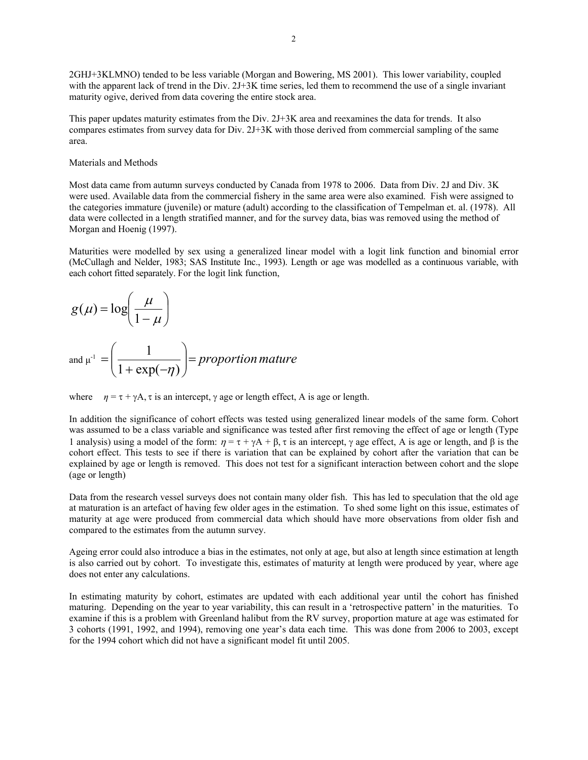2GHJ+3KLMNO) tended to be less variable (Morgan and Bowering, MS 2001). This lower variability, coupled with the apparent lack of trend in the Div. 2J+3K time series, led them to recommend the use of a single invariant maturity ogive, derived from data covering the entire stock area.

This paper updates maturity estimates from the Div. 2J+3K area and reexamines the data for trends. It also compares estimates from survey data for Div. 2J+3K with those derived from commercial sampling of the same area.

### Materials and Methods

Most data came from autumn surveys conducted by Canada from 1978 to 2006. Data from Div. 2J and Div. 3K were used. Available data from the commercial fishery in the same area were also examined. Fish were assigned to the categories immature (juvenile) or mature (adult) according to the classification of Tempelman et. al. (1978). All data were collected in a length stratified manner, and for the survey data, bias was removed using the method of Morgan and Hoenig (1997).

Maturities were modelled by sex using a generalized linear model with a logit link function and binomial error (McCullagh and Nelder, 1983; SAS Institute Inc., 1993). Length or age was modelled as a continuous variable, with each cohort fitted separately. For the logit link function,

$$
g(\mu) = \log\left(\frac{\mu}{1-\mu}\right)
$$
  
and  $\mu^{-1} = \left(\frac{1}{1 + \exp(-\eta)}\right) = proportion mature$ 

where  $\eta = \tau + \gamma A$ ,  $\tau$  is an intercept,  $\gamma$  age or length effect, A is age or length.

In addition the significance of cohort effects was tested using generalized linear models of the same form. Cohort was assumed to be a class variable and significance was tested after first removing the effect of age or length (Type l analysis) using a model of the form:  $η = τ + γA + β, τ$  is an intercept,  $γ$  age effect, A is age or length, and β is the cohort effect. This tests to see if there is variation that can be explained by cohort after the variation that can be explained by age or length is removed. This does not test for a significant interaction between cohort and the slope (age or length)

Data from the research vessel surveys does not contain many older fish. This has led to speculation that the old age at maturation is an artefact of having few older ages in the estimation. To shed some light on this issue, estimates of maturity at age were produced from commercial data which should have more observations from older fish and compared to the estimates from the autumn survey.

Ageing error could also introduce a bias in the estimates, not only at age, but also at length since estimation at length is also carried out by cohort. To investigate this, estimates of maturity at length were produced by year, where age does not enter any calculations.

In estimating maturity by cohort, estimates are updated with each additional year until the cohort has finished maturing. Depending on the year to year variability, this can result in a 'retrospective pattern' in the maturities. To examine if this is a problem with Greenland halibut from the RV survey, proportion mature at age was estimated for 3 cohorts (1991, 1992, and 1994), removing one year's data each time. This was done from 2006 to 2003, except for the 1994 cohort which did not have a significant model fit until 2005.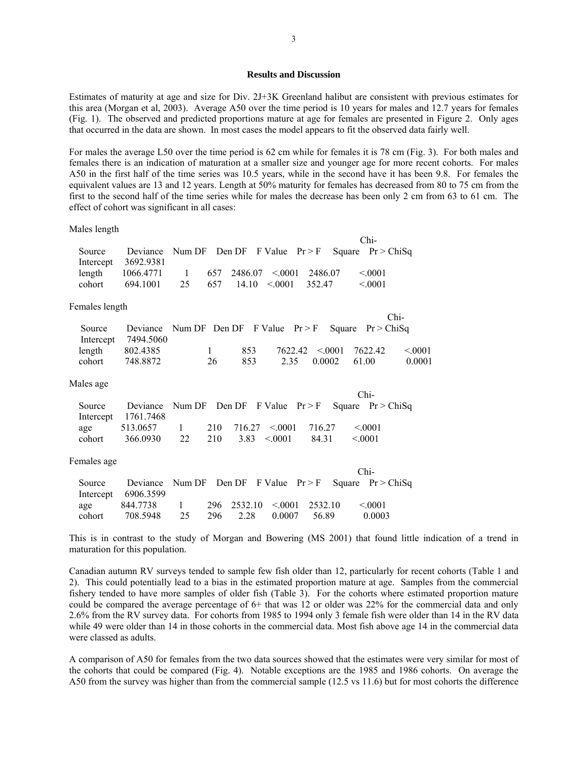#### **Results and Discussion**

Estimates of maturity at age and size for Div. 2J+3K Greenland halibut are consistent with previous estimates for this area (Morgan et al, 2003). Average A50 over the time period is 10 years for males and 12.7 years for females (Fig. 1). The observed and predicted proportions mature at age for females are presented in Figure 2. Only ages that occurred in the data are shown. In most cases the model appears to fit the observed data fairly well.

For males the average L50 over the time period is 62 cm while for females it is 78 cm (Fig. 3). For both males and females there is an indication of maturation at a smaller size and younger age for more recent cohorts. For males A50 in the first half of the time series was 10.5 years, while in the second have it has been 9.8. For females the equivalent values are 13 and 12 years. Length at 50% maturity for females has decreased from 80 to 75 cm from the first to the second half of the time series while for males the decrease has been only 2 cm from 63 to 61 cm. The effect of cohort was significant in all cases:

Males length

|                |           |        |     |                                |                    |         |        | Chi-                |        |
|----------------|-----------|--------|-----|--------------------------------|--------------------|---------|--------|---------------------|--------|
| Source         | Deviance  |        |     | Num DF Den DF F Value $Pr > F$ |                    |         |        | Square $Pr > ChiSq$ |        |
| Intercept      | 3692.9381 |        |     |                                |                    |         |        |                     |        |
| length         | 1066.4771 | 1      | 657 | 2486.07                        | < 0001             | 2486.07 |        | < 0.001             |        |
| cohort         | 694.1001  | 25     | 657 | 14.10                          | < 0001             | 352.47  |        | < 0.001             |        |
| Females length |           |        |     |                                |                    |         |        |                     |        |
|                |           |        |     |                                |                    |         |        |                     | $Chi-$ |
| Source         | Deviance  |        |     | Num DF Den DF F Value $Pr > F$ |                    |         | Square | Pr > ChiSa          |        |
| Intercept      | 7494.5060 |        |     |                                |                    |         |        |                     |        |
| length         | 802.4385  |        | 1   | 853                            | 7622.42            |         | < 0001 | 7622.42             | < 0001 |
| cohort         | 748.8872  |        | 26  | 853                            | 2.35               | 0.0002  |        | 61.00               | 0.0001 |
| Males age      |           |        |     |                                |                    |         |        |                     |        |
|                |           |        |     |                                |                    |         |        | $Chi-$              |        |
| Source         | Deviance  | Num DF |     | Den DF                         | $F$ Value $Pr > F$ |         |        | Square $Pr > ChiSq$ |        |
| Intercept      | 1761.7468 |        |     |                                |                    |         |        |                     |        |
| age            | 513.0657  |        | 210 | 716.27                         | < 0.001            | 716.27  |        | < 0001              |        |

Females age

|        |                                                             |    |                                       |        |        | $Chi-$      |  |
|--------|-------------------------------------------------------------|----|---------------------------------------|--------|--------|-------------|--|
| Source | Deviance Num DF Den DF F Value $Pr > F$ Square $Pr > ChiSq$ |    |                                       |        |        |             |  |
|        | Intercept $6906.3599$                                       |    |                                       |        |        |             |  |
| age    | 844.7738 1                                                  |    | $296$ $2532.10$ $\leq 0001$ $2532.10$ |        |        | $\leq 0001$ |  |
| cohort | 708.5948                                                    | 25 | 296 2.28                              | 0.0007 | -56.89 | 0.0003      |  |

cohort 366.0930 22 210 3.83 <.0001 84.31 <.0001

This is in contrast to the study of Morgan and Bowering (MS 2001) that found little indication of a trend in maturation for this population.

Canadian autumn RV surveys tended to sample few fish older than 12, particularly for recent cohorts (Table 1 and 2). This could potentially lead to a bias in the estimated proportion mature at age. Samples from the commercial fishery tended to have more samples of older fish (Table 3). For the cohorts where estimated proportion mature could be compared the average percentage of 6+ that was 12 or older was 22% for the commercial data and only 2.6% from the RV survey data. For cohorts from 1985 to 1994 only 3 female fish were older than 14 in the RV data while 49 were older than 14 in those cohorts in the commercial data. Most fish above age 14 in the commercial data were classed as adults.

A comparison of A50 for females from the two data sources showed that the estimates were very similar for most of the cohorts that could be compared (Fig. 4). Notable exceptions are the 1985 and 1986 cohorts. On average the A50 from the survey was higher than from the commercial sample (12.5 vs 11.6) but for most cohorts the difference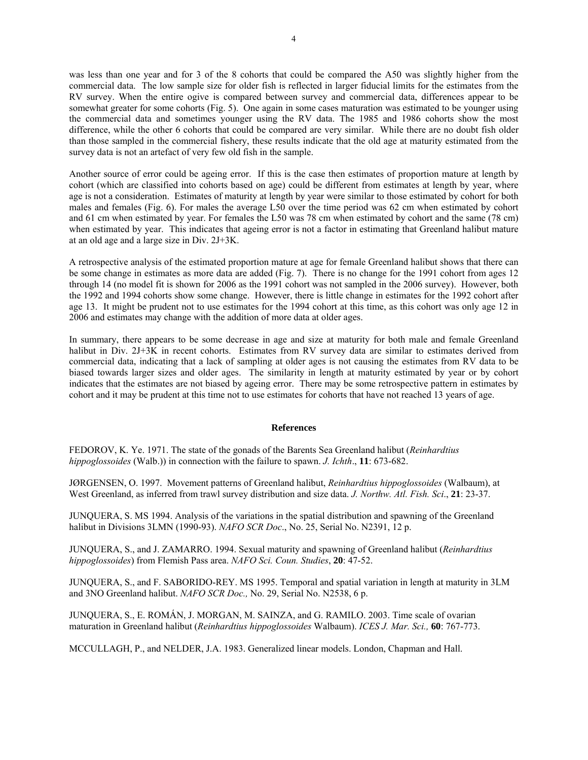was less than one year and for 3 of the 8 cohorts that could be compared the A50 was slightly higher from the commercial data. The low sample size for older fish is reflected in larger fiducial limits for the estimates from the RV survey. When the entire ogive is compared between survey and commercial data, differences appear to be somewhat greater for some cohorts (Fig. 5). One again in some cases maturation was estimated to be younger using the commercial data and sometimes younger using the RV data. The 1985 and 1986 cohorts show the most difference, while the other 6 cohorts that could be compared are very similar. While there are no doubt fish older than those sampled in the commercial fishery, these results indicate that the old age at maturity estimated from the survey data is not an artefact of very few old fish in the sample.

Another source of error could be ageing error. If this is the case then estimates of proportion mature at length by cohort (which are classified into cohorts based on age) could be different from estimates at length by year, where age is not a consideration. Estimates of maturity at length by year were similar to those estimated by cohort for both males and females (Fig. 6). For males the average L50 over the time period was 62 cm when estimated by cohort and 61 cm when estimated by year. For females the L50 was 78 cm when estimated by cohort and the same (78 cm) when estimated by year. This indicates that ageing error is not a factor in estimating that Greenland halibut mature at an old age and a large size in Div. 2J+3K.

A retrospective analysis of the estimated proportion mature at age for female Greenland halibut shows that there can be some change in estimates as more data are added (Fig. 7). There is no change for the 1991 cohort from ages 12 through 14 (no model fit is shown for 2006 as the 1991 cohort was not sampled in the 2006 survey). However, both the 1992 and 1994 cohorts show some change. However, there is little change in estimates for the 1992 cohort after age 13. It might be prudent not to use estimates for the 1994 cohort at this time, as this cohort was only age 12 in 2006 and estimates may change with the addition of more data at older ages.

In summary, there appears to be some decrease in age and size at maturity for both male and female Greenland halibut in Div. 2J+3K in recent cohorts. Estimates from RV survey data are similar to estimates derived from commercial data, indicating that a lack of sampling at older ages is not causing the estimates from RV data to be biased towards larger sizes and older ages. The similarity in length at maturity estimated by year or by cohort indicates that the estimates are not biased by ageing error. There may be some retrospective pattern in estimates by cohort and it may be prudent at this time not to use estimates for cohorts that have not reached 13 years of age.

#### **References**

FEDOROV, K. Ye. 1971. The state of the gonads of the Barents Sea Greenland halibut (*Reinhardtius hippoglossoides* (Walb.)) in connection with the failure to spawn. *J. Ichth*., **11**: 673-682.

JØRGENSEN, O. 1997. Movement patterns of Greenland halibut, *Reinhardtius hippoglossoides* (Walbaum), at West Greenland, as inferred from trawl survey distribution and size data. *J. Northw. Atl. Fish. Sci*., **21**: 23-37.

JUNQUERA, S. MS 1994. Analysis of the variations in the spatial distribution and spawning of the Greenland halibut in Divisions 3LMN (1990-93). *NAFO SCR Doc*., No. 25, Serial No. N2391, 12 p.

JUNQUERA, S., and J. ZAMARRO. 1994. Sexual maturity and spawning of Greenland halibut (*Reinhardtius hippoglossoides*) from Flemish Pass area. *NAFO Sci. Coun. Studies*, **20**: 47-52.

JUNQUERA, S., and F. SABORIDO-REY. MS 1995. Temporal and spatial variation in length at maturity in 3LM and 3NO Greenland halibut. *NAFO SCR Doc.,* No. 29, Serial No. N2538, 6 p.

JUNQUERA, S., E. ROMÁN, J. MORGAN, M. SAINZA, and G. RAMILO. 2003. Time scale of ovarian maturation in Greenland halibut (*Reinhardtius hippoglossoides* Walbaum). *ICES J. Mar. Sci.,* **60**: 767-773.

MCCULLAGH, P., and NELDER, J.A. 1983. Generalized linear models. London, Chapman and Hall.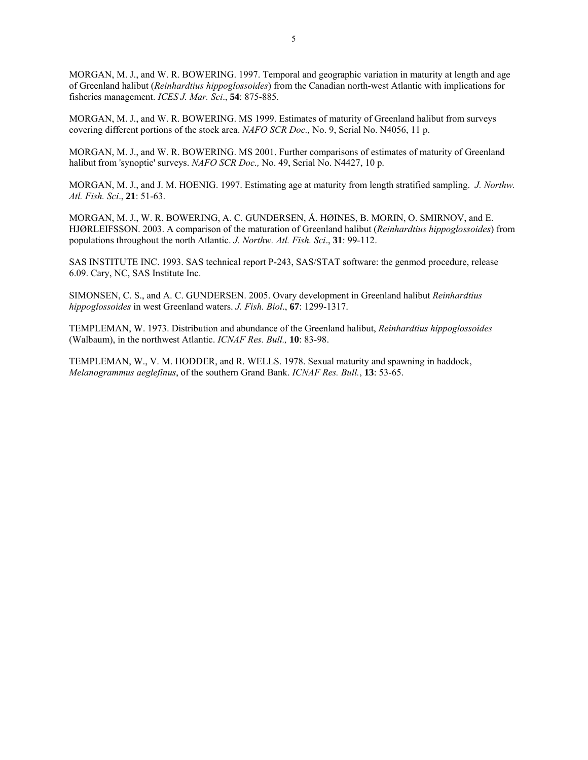MORGAN, M. J., and W. R. BOWERING. 1997. Temporal and geographic variation in maturity at length and age of Greenland halibut (*Reinhardtius hippoglossoides*) from the Canadian north-west Atlantic with implications for fisheries management. *ICES J. Mar. Sci*., **54**: 875-885.

MORGAN, M. J., and W. R. BOWERING. MS 1999. Estimates of maturity of Greenland halibut from surveys covering different portions of the stock area. *NAFO SCR Doc.,* No. 9, Serial No. N4056, 11 p.

MORGAN, M. J., and W. R. BOWERING. MS 2001. Further comparisons of estimates of maturity of Greenland halibut from 'synoptic' surveys. *NAFO SCR Doc.,* No. 49, Serial No. N4427, 10 p.

MORGAN, M. J., and J. M. HOENIG. 1997. Estimating age at maturity from length stratified sampling. *J. Northw. Atl. Fish. Sci*., **21**: 51-63.

MORGAN, M. J., W. R. BOWERING, A. C. GUNDERSEN, Å. HØINES, B. MORIN, O. SMIRNOV, and E. HJØRLEIFSSON. 2003. A comparison of the maturation of Greenland halibut (*Reinhardtius hippoglossoides*) from populations throughout the north Atlantic. *J. Northw. Atl. Fish. Sci*., **31**: 99-112.

SAS INSTITUTE INC. 1993. SAS technical report P-243, SAS/STAT software: the genmod procedure, release 6.09. Cary, NC, SAS Institute Inc.

SIMONSEN, C. S., and A. C. GUNDERSEN. 2005. Ovary development in Greenland halibut *Reinhardtius hippoglossoides* in west Greenland waters. *J. Fish. Biol*., **67**: 1299-1317.

TEMPLEMAN, W. 1973. Distribution and abundance of the Greenland halibut, *Reinhardtius hippoglossoides* (Walbaum), in the northwest Atlantic. *ICNAF Res. Bull.,* **10**: 83-98.

TEMPLEMAN, W., V. M. HODDER, and R. WELLS. 1978. Sexual maturity and spawning in haddock, *Melanogrammus aeglefinus*, of the southern Grand Bank. *ICNAF Res. Bull.*, **13**: 53-65.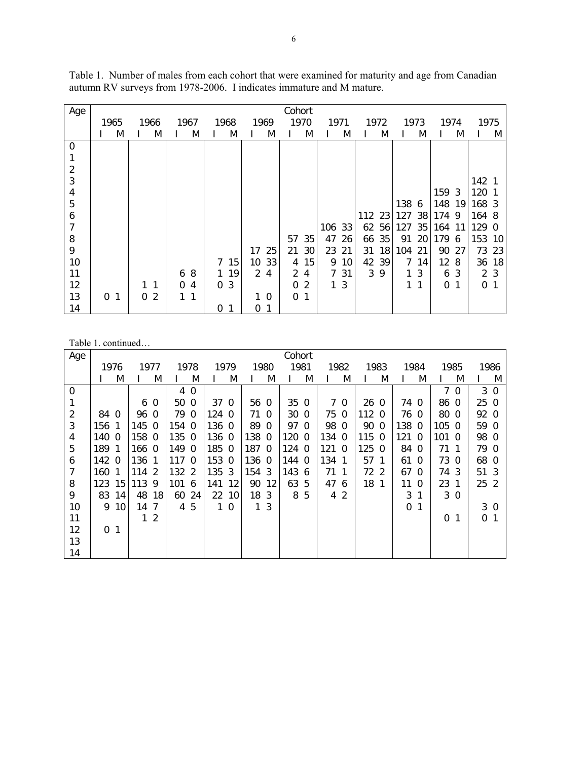| Age            |                |          |   |          |      |   |      |    |                | Cohort         |      |      |    |        |      |     |      |          |    |      |           |
|----------------|----------------|----------|---|----------|------|---|------|----|----------------|----------------|------|------|----|--------|------|-----|------|----------|----|------|-----------|
|                | 1965           | 1966     |   |          | 1967 |   | 1968 |    | 1969           |                | 1970 | 1971 |    |        | 1972 |     | 1973 | 1974     |    | 1975 |           |
|                | M              |          | M |          | M    |   | M    |    | M              |                | M    |      | M  |        | M    |     | M    |          | M  |      | M         |
| $\mathbf 0$    |                |          |   |          |      |   |      |    |                |                |      |      |    |        |      |     |      |          |    |      |           |
| 1              |                |          |   |          |      |   |      |    |                |                |      |      |    |        |      |     |      |          |    |      |           |
| $\overline{2}$ |                |          |   |          |      |   |      |    |                |                |      |      |    |        |      |     |      |          |    |      |           |
| 3              |                |          |   |          |      |   |      |    |                |                |      |      |    |        |      |     |      |          |    | 142  |           |
| 4              |                |          |   |          |      |   |      |    |                |                |      |      |    |        |      |     |      | 159      | -3 | 120  |           |
| 5              |                |          |   |          |      |   |      |    |                |                |      |      |    |        |      | 138 | 6    | 148      | 19 | 168  | - 3       |
| 6              |                |          |   |          |      |   |      |    |                |                |      |      |    | 112 23 |      | 127 | 38   | 174      | 9  | 164  | 8         |
| 7              |                |          |   |          |      |   |      |    |                |                |      | 106  | 33 | 62     | 56   | 127 | 35   | 164      | 11 | 129  | $\Omega$  |
| 8              |                |          |   |          |      |   |      |    |                | 57             | 35   | 47   | 26 | 66     | 35   | 91  | 20   | 179      | 6  | 153  | 10        |
| 9              |                |          |   |          |      |   |      | 17 | 25             | 21             | 30   | 23   | 21 | 31     | 18   | 104 | 21   | 90       | 27 | 73   | 23        |
| 10             |                |          |   |          |      | 7 | 15   | 10 | 33             | 4              | 15   | 9    | 10 | 42     | 39   | 7   | 14   | 12       | 8  | 36   | <b>18</b> |
| 11             |                |          |   | 6        | 8    | 1 | 19   | 2  | 4              | $\overline{2}$ | 4    | 7    | 31 | 3      | 9    |     | -3   | 6        | -3 |      | 2 3       |
| 12             |                |          | 1 | $\Omega$ | 4    | 0 | 3    |    |                | $\Omega$       | 2    | 1    | 3  |        |      | 1   | 1    | $\Omega$ | 1  | 0    |           |
| 13             | 0 <sub>1</sub> | $\Omega$ | 2 |          | 1    |   |      |    | $\overline{0}$ | $\Omega$       | -1   |      |    |        |      |     |      |          |    |      |           |
| 14             |                |          |   |          |      | 0 | 1    | 0  | 1              |                |      |      |    |        |      |     |      |          |    |      |           |

Table 1. Number of males from each cohort that were examined for maturity and age from Canadian autumn RV surveys from 1978-2006. I indicates immature and M mature.

Table 1. continued…

| Age            |          |                 |       |                |       |                |       |          |              |                | Cohort          |      |     |                |                 |                |          |          |          |                |                 |          |
|----------------|----------|-----------------|-------|----------------|-------|----------------|-------|----------|--------------|----------------|-----------------|------|-----|----------------|-----------------|----------------|----------|----------|----------|----------------|-----------------|----------|
|                |          | 1976            |       | 1977           |       | 1978           |       | 1979     |              | 1980           |                 | 1981 |     | 1982           |                 | 1983           |          | 1984     | 1985     |                | 1986            |          |
|                |          | M               |       | M              |       | M              |       | M        |              | M              |                 | M    |     | M              |                 | M              |          | M        |          | M              |                 | Μ        |
| $\mathbf 0$    |          |                 |       |                | 4     | $\Omega$       |       |          |              |                |                 |      |     |                |                 |                |          |          | 7        | $\Omega$       | 3               | $\Omega$ |
| 1              |          |                 | 6     | $\mathbf 0$    | 50 0  |                | 37 0  |          | 56 0         |                | 35 0            |      |     | 7 <sub>0</sub> | 26 <sub>0</sub> |                | 74 0     |          | 86       | $\Omega$       | 25 <sub>0</sub> |          |
| $\overline{2}$ | 84 0     |                 | 96    | $\Omega$       | 79    | $\overline{0}$ | 124 0 |          | 71           | $\overline{0}$ | 30 <sub>0</sub> |      | 75  | $\Omega$       | 112 0           |                | 76 0     |          | 80       | $\Omega$       | 92 0            |          |
| 3              | 156 1    |                 | 145   | $\Omega$       | 154 0 |                | 136 0 |          | 89 0         |                | 97 0            |      | 98  | $\Omega$       | 90 0            |                | 138 0    |          | 105 0    |                | 59 0            |          |
| $\overline{4}$ | 140 0    |                 | 158   | $\overline{0}$ | 135 0 |                | 136 0 |          | 138 0        |                | 1200            |      | 134 | $\Omega$       | 115 0           |                | 121 0    |          | 1010     |                | 98 0            |          |
| 5              | 189 1    |                 | 166 0 |                | 149 0 |                | 185 0 |          | 187 0        |                | 124 0           |      | 121 | - 0            | 125 0           |                | 84 0     |          | 71       | $\mathbf 1$    | 79 0            |          |
| 6              | 142 0    |                 | 136   | 1              | 1170  |                | 153 0 |          | 136 0        |                | 144 0           |      | 134 | 1              | 57              | $\overline{1}$ | 61 0     |          | 73       | $\Omega$       | 68 0            |          |
| 7              | 160 1    |                 | 114   | $\overline{2}$ | 132 2 |                | 135 3 |          | 154 3        |                | 143             | -6   | 71  | -1             | 72 2            |                | 67 0     |          | 74       | 3              | 51 3            |          |
| 8              | 123      | 15 <sup>1</sup> | 113   | 9              | 101   | 6              | 141   | 12       | 90           | 12             | 63              | 5    | 47  | 6              | 18 1            |                | 11       | $\Omega$ | 23       | -1             | 25 <sub>2</sub> |          |
| 9              | 83       | 14              | 48    | 18             | 60    | 24             | 22    | 10       | 18           | 3              | 8               | 5    | 4   | $\overline{2}$ |                 |                | 3        | 1        |          | 3 <sub>0</sub> |                 |          |
| 10             | 9        | 10              | 14    | 7              | 4     | 5              | 1.    | $\Omega$ | $\mathbf{1}$ | 3              |                 |      |     |                |                 |                | $\Omega$ |          |          |                | 3 0             |          |
| 11             |          |                 | 1     | $\overline{2}$ |       |                |       |          |              |                |                 |      |     |                |                 |                |          |          | $\Omega$ | 1              | 0               |          |
| 12             | $\Omega$ | $\mathbf 1$     |       |                |       |                |       |          |              |                |                 |      |     |                |                 |                |          |          |          |                |                 |          |
| 13             |          |                 |       |                |       |                |       |          |              |                |                 |      |     |                |                 |                |          |          |          |                |                 |          |
| 14             |          |                 |       |                |       |                |       |          |              |                |                 |      |     |                |                 |                |          |          |          |                |                 |          |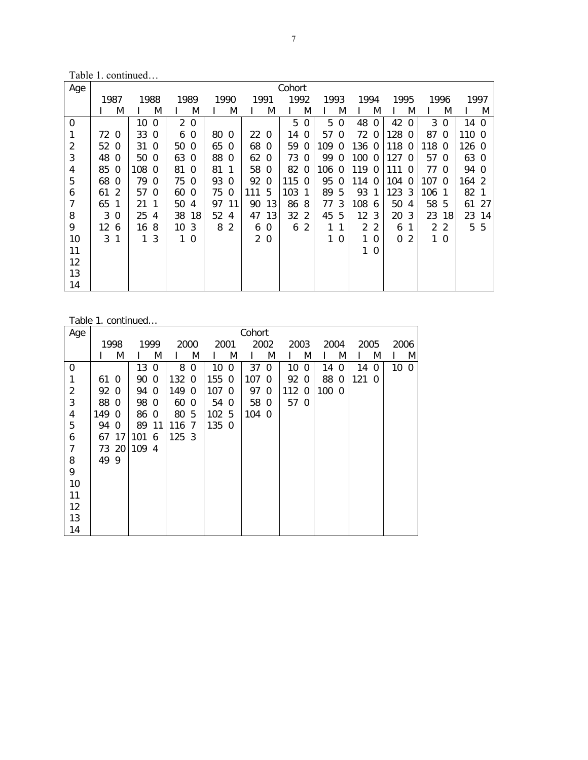Table 1. continued…

| Age            |      |          |     |          |    |             |     |                |                |                | Cohort |          |       |          |                |          |       |          |                |          |       |          |
|----------------|------|----------|-----|----------|----|-------------|-----|----------------|----------------|----------------|--------|----------|-------|----------|----------------|----------|-------|----------|----------------|----------|-------|----------|
|                | 1987 |          |     | 1988     |    | 1989        |     | 1990           | 1991           |                | 1992   |          | 1993  |          | 1994           |          | 1995  |          |                | 1996     | 1997  |          |
|                |      | M        |     | M        |    | M           |     | M              |                | M              |        | M        |       | M        |                | M        |       | M        |                | M        |       | M        |
| 0              |      |          | 10  | $\Omega$ | 2  | $\mathbf 0$ |     |                |                |                | 5      | 0        | 5     | $\Omega$ | 48             | $\Omega$ | 42    | $\Omega$ | 3              | 0        | 14    | $\Omega$ |
| 1              | 72   | $\Omega$ | 33  | $\Omega$ | 6  | $\Omega$    | 80  | $\Omega$       | 22             | $\Omega$       | 14     | $\Omega$ | 57    | $\Omega$ | 72             | $\Omega$ | 128   | $\Omega$ | 87             | $\Omega$ | 110 0 |          |
| $\overline{c}$ | 52   | $\Omega$ | 31  | $\Omega$ | 50 | $\Omega$    | 65  | $\Omega$       | 68             | $\Omega$       | 59     | 0        | 109   | $\Omega$ | 136            | $\Omega$ | 118   | 0        | 118            | $\Omega$ | 126 0 |          |
| 3              | 48   | $\Omega$ | 50  | $\Omega$ | 63 | $\Omega$    | 88  | $\Omega$       | 62             | $\Omega$       | 73     | 0        | 99    | $\Omega$ | 100            | $\Omega$ | 127   | $\Omega$ | 57             | $\Omega$ | 63 0  |          |
| 4              | 85   | 0        | 108 | $\Omega$ | 81 | 0           | 81  |                | 58             | $\overline{0}$ | 82     | $\Omega$ | 106 0 |          | 119            | 0        | 111   | $\Omega$ | 77             | $\Omega$ | 94    | $\Omega$ |
| 5              | 68   | $\Omega$ | 79  | $\Omega$ | 75 | $\Omega$    | 93  | $\Omega$       | 92             | $\Omega$       | 115    | 0        | 95    | $\Omega$ | 114            | 0        | 104   | $\Omega$ | 107            | - 0      | 164   | - 2      |
| 6              | 61   | -2       | 57  | $\Omega$ | 60 | $\Omega$    | 750 |                | 111            | 5              | 103    |          | 89    | -5       | 93             |          | 123.3 |          | 106 1          |          | 82    |          |
| 7              | 65   | 1        | 21  | -1       | 50 | 4           | 97  | -11            | 90             | 13             | 86     | -8       | 77    | 3        | 108 6          |          | 50    | 4        | 58 5           |          | 61    | 27       |
| 8              | 3    | 0        | 25  | 4        | 38 | 18          | 52  | 4              | 47             | 13             | 32     | 2        | 45    | 5        | 12             | 3        | 20    | 3        | 23             | 18       | 23    | 14       |
| 9              | 12   | 6        | 16  | 8        | 10 | 3           | 8   | $\overline{2}$ | 6              | $\Omega$       | 6      | 2        | 1     |          | $\overline{2}$ | 2        | 6     |          | $\overline{2}$ | 2        | 5     | 5        |
| 10             | 3    | 1        |     | 3        |    | $\Omega$    |     |                | 2 <sub>0</sub> |                |        |          | 1     | 0        | 1              | 0        | 0     | 2        | 1.             | $\Omega$ |       |          |
| 11             |      |          |     |          |    |             |     |                |                |                |        |          |       |          | 1              | $\Omega$ |       |          |                |          |       |          |
| 12             |      |          |     |          |    |             |     |                |                |                |        |          |       |          |                |          |       |          |                |          |       |          |
| 13             |      |          |     |          |    |             |     |                |                |                |        |          |       |          |                |          |       |          |                |          |       |          |
| 14             |      |          |     |          |    |             |     |                |                |                |        |          |       |          |                |          |       |          |                |          |       |          |

# Table 1. continued…

| Age            |       |       |       |          |       |      |                 |      | Cohort |          |       |          |      |              |      |          |                 |   |
|----------------|-------|-------|-------|----------|-------|------|-----------------|------|--------|----------|-------|----------|------|--------------|------|----------|-----------------|---|
|                |       | 1998  |       | 1999     |       | 2000 |                 | 2001 |        | 2002     | 2003  |          | 2004 |              | 2005 |          | 2006            |   |
|                |       | M     |       | M        |       | M    |                 | M    |        | M        |       | M        |      | M            |      | M        |                 | M |
| 0              |       |       | 13    | $\Omega$ |       | 8 0  | 10 <sub>0</sub> |      | 37     | $\Omega$ | 10    | $\Omega$ | 14   | $\mathbf{0}$ | 14   | $\Omega$ | 10 <sub>0</sub> |   |
| 1              | 61 0  |       | 90 0  |          | 132 0 |      | 155 0           |      | 107 0  |          | 92 0  |          | 88   | $\mathbf 0$  | 121  | $\Omega$ |                 |   |
| $\overline{c}$ | 92 0  |       | 94 0  |          | 149 0 |      | 107 0           |      | 97 0   |          | 112 0 |          | 100  | - 0          |      |          |                 |   |
| $\mathfrak{Z}$ | 88 0  |       | 98 0  |          | 60 0  |      | 54 0            |      | 58 0   |          | 57 0  |          |      |              |      |          |                 |   |
| 4              | 149 0 |       | 86 0  |          | 80 5  |      | 102 5           |      | 104 0  |          |       |          |      |              |      |          |                 |   |
| 5              | 94 0  |       | 89 11 |          | 116 7 |      | 135 0           |      |        |          |       |          |      |              |      |          |                 |   |
| 6              |       | 67 17 | 101 6 |          | 125 3 |      |                 |      |        |          |       |          |      |              |      |          |                 |   |
| 7              |       | 73 20 | 109 4 |          |       |      |                 |      |        |          |       |          |      |              |      |          |                 |   |
| 8              | 49 9  |       |       |          |       |      |                 |      |        |          |       |          |      |              |      |          |                 |   |
| 9              |       |       |       |          |       |      |                 |      |        |          |       |          |      |              |      |          |                 |   |
| 10             |       |       |       |          |       |      |                 |      |        |          |       |          |      |              |      |          |                 |   |
| 11             |       |       |       |          |       |      |                 |      |        |          |       |          |      |              |      |          |                 |   |
| 12             |       |       |       |          |       |      |                 |      |        |          |       |          |      |              |      |          |                 |   |
| 13             |       |       |       |          |       |      |                 |      |        |          |       |          |      |              |      |          |                 |   |
| 14             |       |       |       |          |       |      |                 |      |        |          |       |          |      |              |      |          |                 |   |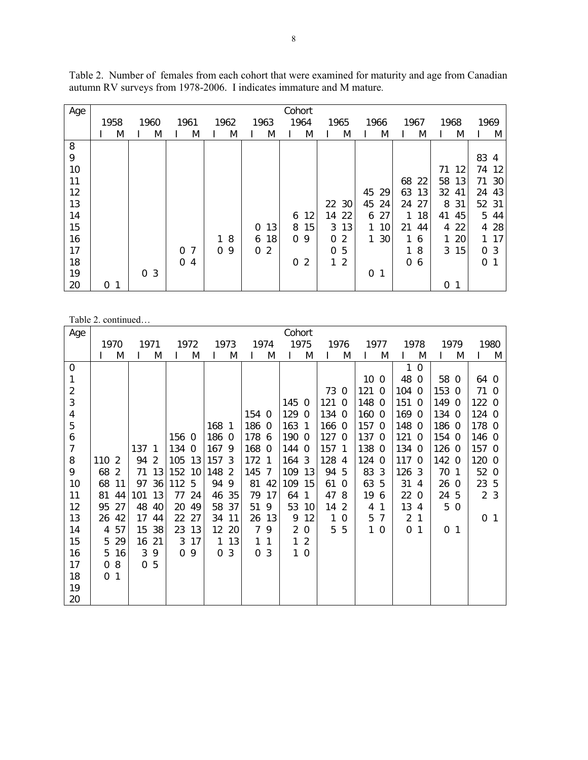| Table 2. Number of females from each cohort that were examined for maturity and age from Canadian |  |  |  |  |
|---------------------------------------------------------------------------------------------------|--|--|--|--|
| autumn RV surveys from 1978-2006. I indicates immature and M mature.                              |  |  |  |  |

| Age |      |                               |                     |               |                   | Cohort        |                                |          |          |          |                    |
|-----|------|-------------------------------|---------------------|---------------|-------------------|---------------|--------------------------------|----------|----------|----------|--------------------|
|     | 1958 | 1960                          | 1961                | 1962          | 1963              | 1964          | 1965                           | 1966     | 1967     | 1968     | 1969               |
|     | M    | M                             | M                   | M             | M                 | M             | M                              | M        | M        | M        | M                  |
| 8   |      |                               |                     |               |                   |               |                                |          |          |          |                    |
| 9   |      |                               |                     |               |                   |               |                                |          |          |          | 83<br>4            |
| 10  |      |                               |                     |               |                   |               |                                |          |          | 71<br>12 | 74<br>12           |
| 11  |      |                               |                     |               |                   |               |                                |          | 68<br>22 | 58<br>13 | 30<br>71           |
| 12  |      |                               |                     |               |                   |               |                                | 45<br>29 | 63<br>13 | 32<br>41 | 43<br>24           |
| 13  |      |                               |                     |               |                   |               | 22 30                          | 45<br>24 | 27<br>24 | 31<br>8  | 52 31              |
| 14  |      |                               |                     |               |                   | 12<br>6       | 14<br>22                       | 27<br>6  | 18<br>1  | 41<br>45 | 5<br>44            |
| 15  |      |                               |                     |               | 13<br>$\mathbf 0$ | 15<br>8       | 13<br>3                        | 10       | 21<br>44 | 22<br>4  | 28<br>4            |
| 16  |      |                               |                     | 8<br>1        | 18<br>6           | $\Omega$<br>9 | 2<br>$\Omega$                  | 30       | 1.<br>6  | 20       | 17<br>$\mathbf{1}$ |
| 17  |      |                               | 7<br>$\Omega$       | 9<br>$\Omega$ | 2<br>$\Omega$     |               | 5<br>$\Omega$                  |          | 8<br>1   | 15<br>3  | 3<br>0             |
| 18  |      |                               | 0<br>$\overline{4}$ |               |                   | 2<br>0        | $\overline{2}$<br>$\mathbf{1}$ |          | 0<br>6   |          | 0                  |
| 19  |      | $\overline{3}$<br>$\mathbf 0$ |                     |               |                   |               |                                | 0<br>-1  |          |          |                    |
| 20  | 0    |                               |                     |               |                   |               |                                |          |          | 0<br>1   |                    |

Table 2. continued…

| Age            |          |              |          |                |        |                |          |                |          |              | Cohort         |                |       |                |                 |             |                |                |          |              |                |                |
|----------------|----------|--------------|----------|----------------|--------|----------------|----------|----------------|----------|--------------|----------------|----------------|-------|----------------|-----------------|-------------|----------------|----------------|----------|--------------|----------------|----------------|
|                |          | 1970         | 1971     |                |        | 1972           |          | 1973           |          | 1974         |                | 1975           |       | 1976           | 1977            |             |                | 1978           |          | 1979         |                | 1980           |
|                |          | M            |          | M              |        | M              |          | M              |          | M            |                | M              |       | M              |                 | M           |                | M              |          | M            |                | M              |
| 0              |          |              |          |                |        |                |          |                |          |              |                |                |       |                |                 |             | 1              | $\Omega$       |          |              |                |                |
| 1              |          |              |          |                |        |                |          |                |          |              |                |                |       |                | 10 <sub>0</sub> |             | 48 0           |                | 58 0     |              | 64 0           |                |
| $\sqrt{2}$     |          |              |          |                |        |                |          |                |          |              |                |                | 73 0  |                | 121 0           |             | 104 0          |                | 153 0    |              | 71 0           |                |
| 3              |          |              |          |                |        |                |          |                |          |              | 145            | $\overline{0}$ | 121 0 |                | 148 0           |             | 151 0          |                | 149 0    |              | 122 0          |                |
| 4              |          |              |          |                |        |                |          |                | 154 0    |              | 129            | $\mathbf 0$    | 134 0 |                | 160 0           |             | 169 0          |                | 134 0    |              | 124 0          |                |
| 5              |          |              |          |                |        |                | 168 1    |                | 186 0    |              | 163 1          |                | 166 0 |                | 157 0           |             | 148 0          |                | 186 0    |              | 178 0          |                |
| 6              |          |              |          |                | 156 0  |                | 186 0    |                | 178 6    |              | 190 0          |                | 127   | $\overline{0}$ | 137 0           |             | 121 0          |                | 154 0    |              | 146 0          |                |
| $\overline{7}$ |          |              | 137      | -1             | 134    | $\overline{0}$ | 167 9    |                | 168 0    |              | 144            | $\mathbf 0$    | 157   | 1              | 138 0           |             | 134 0          |                | 126 0    |              | 157 0          |                |
| 8              | 110      | 2            | 94       | $\overline{2}$ | 105    | 13             | 157 3    |                | 172 1    |              | 164            | 3              | 128   | 4              | 124 0           |             | 117 0          |                | 142 0    |              | 120 0          |                |
| 9              | 68       | 2            | 71       | 13             | 152 10 |                | 148      | $\overline{2}$ | 145      | 7            | 109            | 13             | 94    | 5              | 83 3            |             | 126 3          |                | 70       | - 1          | 52 0           |                |
| 10             | 68       | 11           | 97       | 36             | 112 5  |                | 94       | 9              | 81       | 42           | 109            | 15             | 61    | $\mathbf 0$    | 63              | -5          | 31             | $\overline{4}$ | 260      |              | 23 5           |                |
| 11             | 81       | 44           | 101      | 13             | 77     | 24             | 46       | 35             | 79       | 17           | 64             | 1              | 47    | 8              | 19              | 6           | 22 0           |                | 24 5     |              |                | 2 <sub>3</sub> |
| 12             | 95       | 27           | 48       | 40             | 20     | 49             | 58       | 37             | 51       | 9            | 53             | 10             | 14    | 2              | 4               | 1           | 13             | 4              | 5        | $\Omega$     |                |                |
| 13             | 26       | 42           | 17       | 44             | 22     | 27             | 34       | 11             | 26       | 13           | 9              | 12             | 1     | $\Omega$       | 5               | 7           | $\overline{2}$ | $\mathbf{1}$   |          |              | 0 <sub>1</sub> |                |
| 14             | 4        | 57           | 15       | 38             | 23     | 13             | 12       | 20             | 7        | 9            | $\overline{2}$ | 0              | 5     | 5              | 1.              | $\mathbf 0$ | 0              | 1              | $\Omega$ | $\mathbf{1}$ |                |                |
| 15             | 5        | 29           | 16       | 21             | 3      | 17             |          | 113            | 1        | $\mathbf{1}$ | 1.             | 2              |       |                |                 |             |                |                |          |              |                |                |
| 16             | 5        | 16           | 3        | 9              | 0      | 9              | $\Omega$ | 3              | $\Omega$ | 3            | $\mathbf{1}$   | $\Omega$       |       |                |                 |             |                |                |          |              |                |                |
| 17             | $\Omega$ | 8            | $\Omega$ | -5             |        |                |          |                |          |              |                |                |       |                |                 |             |                |                |          |              |                |                |
| 18             | 0        | $\mathbf{1}$ |          |                |        |                |          |                |          |              |                |                |       |                |                 |             |                |                |          |              |                |                |
| 19             |          |              |          |                |        |                |          |                |          |              |                |                |       |                |                 |             |                |                |          |              |                |                |
| 20             |          |              |          |                |        |                |          |                |          |              |                |                |       |                |                 |             |                |                |          |              |                |                |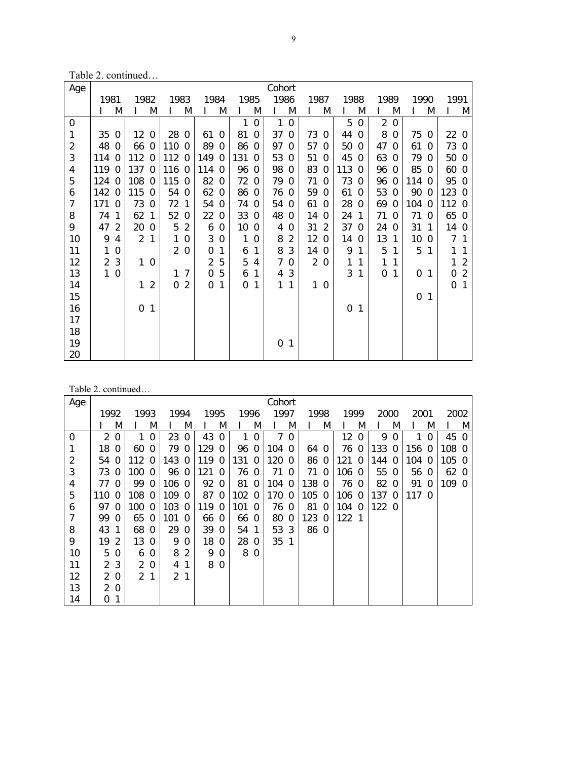Table 2. continued…

| Age            |                |                |                |                |      |                |                |             |      |                | Cohort   |                |                |                |       |          |                |             |              |                |              |                |
|----------------|----------------|----------------|----------------|----------------|------|----------------|----------------|-------------|------|----------------|----------|----------------|----------------|----------------|-------|----------|----------------|-------------|--------------|----------------|--------------|----------------|
|                | 1981           |                | 1982           |                | 1983 |                | 1984           |             | 1985 |                | 1986     |                | 1987           |                | 1988  |          | 1989           |             | 1990         |                | 1991         |                |
|                |                | M              | L              | M              | I    | M              | L              | M           |      | M              | L        | M              | L              | M              | L     | M        |                | M           | $\mathbf{I}$ | M              | L            | M              |
| 0              |                |                |                |                |      |                |                |             | 1    | $\mathbf 0$    | 1        | $\Omega$       |                |                | 5     | $\Omega$ | $\overline{2}$ | $\Omega$    |              |                |              |                |
| 1              | 35             | $\overline{0}$ | 12             | $\Omega$       | 28   | $\Omega$       | 61             | $\Omega$    | 81   | $\overline{0}$ | 37       | $\Omega$       | 73             | $\overline{0}$ | 44    | $\Omega$ | 8              | $\mathbf 0$ | 75           | $\mathbf 0$    | 22 0         |                |
| $\overline{2}$ | 48             | $\Omega$       | 66             | $\overline{0}$ | 110  | $\Omega$       | 89             | $\Omega$    | 86   | 0              | 97       | $\Omega$       | 57             | $\Omega$       | 50    | $\Omega$ | 47             | $\Omega$    | 61           | $\Omega$       | 73 0         |                |
| 3              | 114            | $\Omega$       | 112            | $\Omega$       | 112  | $\mathbf 0$    | 149            | 0           | 131  | $\Omega$       | 53       | $\Omega$       | 51             | $\mathbf 0$    | 45    | $\Omega$ | 63             | $\Omega$    | 79           | $\Omega$       | 50 0         |                |
| 4              | 119            | $\overline{0}$ | 137 0          |                | 116  | $\Omega$       | 114 0          |             | 96   | 0              | 98       | $\Omega$       | 83             | $\mathbf 0$    | 113 0 |          | 96             | 0           | 85           | $\Omega$       | 60 0         |                |
| 5              | 124            | $\Omega$       | 108            | $\Omega$       | 115  | $\Omega$       | 82             | $\mathbf 0$ | 72   | $\Omega$       | 79       | $\Omega$       | 71             | $\Omega$       | 73    | $\Omega$ | 96             | $\Omega$    | 114          | $\Omega$       | 95           | $\Omega$       |
| 6              | 142            | $\Omega$       | 115            | $\Omega$       | 54   | $\mathbf 0$    | 62             | $\Omega$    | 86   | $\mathbf 0$    | 76       | $\Omega$       | 59             | $\Omega$       | 61    | $\Omega$ | 53             | $\Omega$    | 90           | $\Omega$       | 123 0        |                |
| $\overline{7}$ | 171            | $\overline{0}$ | 73             | $\Omega$       | 72   | 1              | 54             | $\mathbf 0$ | 74   | 0              | 54       | $\Omega$       | 61             | $\Omega$       | 28    | $\Omega$ | 69             | $\Omega$    | 104          | $\mathbf 0$    | 112          | $\Omega$       |
| 8              | 74             | $\mathbf{1}$   | 62             | $\mathbf{1}$   | 52   | $\mathbf 0$    | 22             | $\mathbf 0$ | 33   | $\mathbf 0$    | 48       | $\Omega$       | 14             | $\Omega$       | 24    | 1        | 71             | $\Omega$    | 71           | $\Omega$       | 65 0         |                |
| 9              | 47             | 2              | 20             | $\Omega$       | 5    | 2              | 6              | 0           | 10   | $\mathbf 0$    | 4        | $\Omega$       | 31             | 2              | 37    | $\Omega$ | 24             | $\Omega$    | 31           | $\mathbf 1$    | 14 0         |                |
| 10             | 9              | $\overline{4}$ | $\overline{2}$ | 1              | 1    | $\Omega$       | 3              | $\Omega$    | 1    | $\Omega$       | 8        | $\overline{2}$ | 12             | $\Omega$       | 14    | $\Omega$ | 13             | 1           | 10           | $\Omega$       | 7            | $\mathbf{1}$   |
| 11             | 1              | $\Omega$       |                |                |      | 20             | 0              | 1           | 6    | 1              | 8        | 3              | 14 0           |                | 9     | 1        | 5              | 1           | 5            | 1              | $\mathbf{1}$ | 1              |
| 12             | $\overline{2}$ | 3              | 1              | $\mathbf 0$    |      |                | $\overline{2}$ | 5           | 5    | 4              | 7        | $\mathbf 0$    | $\overline{2}$ | $\Omega$       | 1     | 1        | 1              | 1           |              |                | 1            | $\overline{2}$ |
| 13             | 1              | $\overline{0}$ |                |                | 1    | $\overline{7}$ | $\Omega$       | 5           | 6    | 1              | 4        | 3              |                |                | 3     | 1        | 0              | 1           | 0            | $\mathbf{1}$   | 0            | $\overline{2}$ |
| 14             |                |                | 1              | $\overline{2}$ | 0    | $\overline{2}$ | 0              | 1           | 0    | 1              | 1        | 1              |                | 10             |       |          |                |             |              |                | $\Omega$     | $\mathbf{1}$   |
| 15             |                |                |                |                |      |                |                |             |      |                |          |                |                |                |       |          |                |             | 0            | $\overline{1}$ |              |                |
| 16             |                |                | 0              | 1              |      |                |                |             |      |                |          |                |                |                | 0     | 1        |                |             |              |                |              |                |
| 17             |                |                |                |                |      |                |                |             |      |                |          |                |                |                |       |          |                |             |              |                |              |                |
| 18             |                |                |                |                |      |                |                |             |      |                |          |                |                |                |       |          |                |             |              |                |              |                |
| 19             |                |                |                |                |      |                |                |             |      |                | $\Omega$ | $\mathbf{1}$   |                |                |       |          |                |             |              |                |              |                |
| 20             |                |                |                |                |      |                |                |             |      |                |          |                |                |                |       |          |                |             |              |                |              |                |

|     | Table 2. continued |                |               |              |       |                |       |          |      |              |                 |          |       |     |           |          |       |   |       |          |       |     |
|-----|--------------------|----------------|---------------|--------------|-------|----------------|-------|----------|------|--------------|-----------------|----------|-------|-----|-----------|----------|-------|---|-------|----------|-------|-----|
| Age |                    |                |               |              |       |                |       |          |      |              | Cohort          |          |       |     |           |          |       |   |       |          |       |     |
|     | 1992               |                | 1993          |              | 1994  |                | 1995  |          | 1996 |              | 1997            |          | 1998  |     | 1999      |          | 2000  |   | 2001  |          | 2002  |     |
|     |                    | M              |               | M            |       | M              |       | M        |      | M            |                 | M        |       | M   |           | M        |       | M |       | M        |       | M   |
| 0   |                    | 2 <sub>0</sub> | $\mathbf{1}$  | $\Omega$     | 23    | $\Omega$       | 43    | $\Omega$ | 1    | $\Omega$     | 7               | $\Omega$ |       |     | 12        | $\Omega$ | 9     | 0 | 1     | $\Omega$ | 45 0  |     |
| 1   | 18                 | $\Omega$       | 60            | $\Omega$     | 79 0  |                | 129   | $\Omega$ | 96   | $\Omega$     | 104 0           |          | 64 0  |     | 76 0      |          | 133 0 |   | 156 0 |          | 108 0 |     |
| 2   | 54                 | $\Omega$       | 112           | $\Omega$     | 143 0 |                | 119   | $\Omega$ | 131  | $\Omega$     | 1200            |          | 86 0  |     | 121 0     |          | 144 0 |   | 104   | 0        | 105   | - 0 |
| 3   | 73                 | $\Omega$       | 100           | $\Omega$     | 96 0  |                | 121   | - 0      | 76   | $\Omega$     | 71              | - 0      | 71 0  |     | 106 0     |          | 55 0  |   | 56 0  |          | 62 0  |     |
| 4   | 77                 | $\Omega$       | 99            | $\Omega$     | 106 0 |                | 92 0  |          | 81 0 |              | 104 0           |          | 138 0 |     | 76 0      |          | 82 0  |   | 91    | 0        | 109 0 |     |
| 5   | 1100               |                | 108           | $\Omega$     | 109 0 |                | 87 0  |          | 102  | $\Omega$     | 170 0           |          | 105 0 |     | 106 0     |          | 1370  |   | 117 0 |          |       |     |
| 6   | 97 0               |                | 1000          |              | 103 0 |                | 119 0 |          | 101  | $\Omega$     | 76 0            |          | 81    | - 0 | $104 \ 0$ |          | 1220  |   |       |          |       |     |
| 7   | 99 0               |                | 65 0          |              | 101   | - 0            | 66 0  |          | 66 0 |              | 80 0            |          | 123 0 |     | 122 1     |          |       |   |       |          |       |     |
| 8   | 43 1               |                | 68            | $\Omega$     | 29 0  |                | 39    | $\Omega$ | 54   | $\mathbf{1}$ | 53 3            |          | 86 0  |     |           |          |       |   |       |          |       |     |
| 9   | 19                 | 2              | 13 0          |              | 9     | 0              | 18    | 0        | 28   | $\Omega$     | 35 <sub>1</sub> |          |       |     |           |          |       |   |       |          |       |     |
| 10  | 5                  | $\Omega$       | 6             | $\Omega$     | 8     | 2              | 9     | $\Omega$ |      | 80           |                 |          |       |     |           |          |       |   |       |          |       |     |
| 11  |                    | 2 3            | 2             | $\Omega$     | 4     | 1              |       | 8 0      |      |              |                 |          |       |     |           |          |       |   |       |          |       |     |
| 12  |                    | 2 0            | $\mathcal{P}$ | $\mathbf{1}$ |       | 2 <sub>1</sub> |       |          |      |              |                 |          |       |     |           |          |       |   |       |          |       |     |
| 13  |                    | 2 0            |               |              |       |                |       |          |      |              |                 |          |       |     |           |          |       |   |       |          |       |     |
| 14  | 0                  |                |               |              |       |                |       |          |      |              |                 |          |       |     |           |          |       |   |       |          |       |     |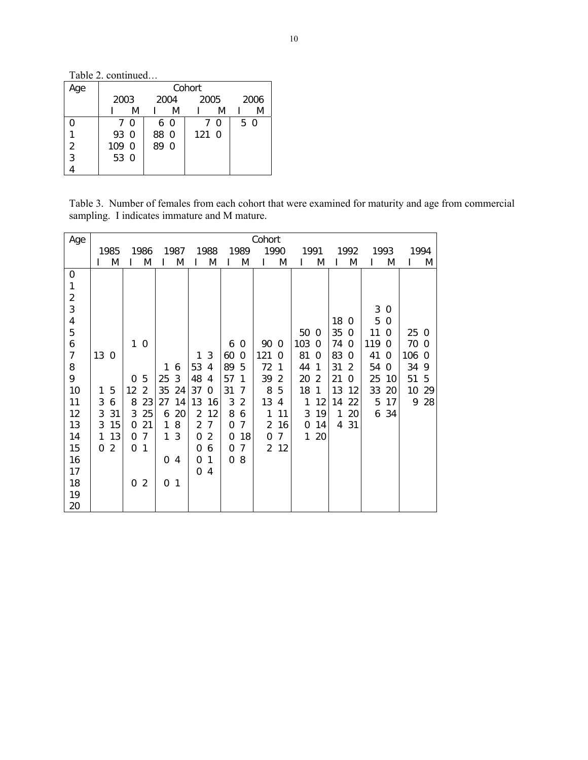Table 2. continued…

| Age           |       |    |      |          | Cohort |   |     |      |
|---------------|-------|----|------|----------|--------|---|-----|------|
|               | 2003  |    |      | 2004     | 2005   |   |     | 2006 |
|               |       | M  |      | M        |        | M |     | M    |
|               |       | 70 |      | 6 0      | 7      | 0 | 5 0 |      |
|               | 93 0  |    | 88 0 |          | 121 0  |   |     |      |
| $\frac{2}{3}$ | 109 0 |    | 89   | $\Omega$ |        |   |     |      |
|               | 53 0  |    |      |          |        |   |     |      |
|               |       |    |      |          |        |   |     |      |

Table 3. Number of females from each cohort that were examined for maturity and age from commercial sampling. I indicates immature and M mature.

| Age            | Cohort   |                |          |                |      |              |                |                |          |             |               |                |      |                |      |                |      |             |       |    |
|----------------|----------|----------------|----------|----------------|------|--------------|----------------|----------------|----------|-------------|---------------|----------------|------|----------------|------|----------------|------|-------------|-------|----|
|                | 1985     |                | 1986     |                | 1987 |              | 1988           |                | 1989     |             | 1990          |                | 1991 |                | 1992 |                | 1993 |             | 1994  |    |
|                |          | M              |          | M              |      | M            |                | M              |          | M           |               | M              |      | M              |      | M              |      | M           |       | Μ  |
| 0              |          |                |          |                |      |              |                |                |          |             |               |                |      |                |      |                |      |             |       |    |
| 1              |          |                |          |                |      |              |                |                |          |             |               |                |      |                |      |                |      |             |       |    |
| $\overline{c}$ |          |                |          |                |      |              |                |                |          |             |               |                |      |                |      |                |      |             |       |    |
| 3              |          |                |          |                |      |              |                |                |          |             |               |                |      |                |      |                | 3    | $\Omega$    |       |    |
| 4              |          |                |          |                |      |              |                |                |          |             |               |                |      |                | 18   | 0              | 5    | $\mathbf 0$ |       |    |
| 5              |          |                |          |                |      |              |                |                |          |             |               |                | 50   | $\Omega$       | 35   | $\mathbf 0$    | 11   | $\Omega$    | 25 0  |    |
| 6              |          |                | 1        | $\mathbf 0$    |      |              |                |                | 6        | 0           | 90            | $\mathbf 0$    | 103  | $\Omega$       | 74   | $\overline{0}$ | 119  | $\Omega$    | 70 0  |    |
| $\overline{7}$ | 13 0     |                |          |                |      |              | 1              | 3              | 60       | $\mathbf 0$ | 121           | 0              | 81   | $\Omega$       | 83   | $\Omega$       | 41   | $\Omega$    | 106 0 |    |
| 8              |          |                |          |                | 1    | 6            | 53             | 4              | 89       | 5           | 72            | 1              | 44   | 1              | 31   | $\overline{2}$ | 54   | $\Omega$    | 34    | 9  |
| 9              |          |                | 0        | 5              | 25   | 3            | 48             | 4              | 57       | 1           | 39            | $\overline{2}$ | 20   | $\overline{2}$ | 21   | $\Omega$       | 25   | 10          | 51    | -5 |
| 10             | 1        | 5              | 12       | $\overline{2}$ | 35   | 24           | 37             | 0              | 31       | 7           | 8             | 5              | 18   | 1              | 13   | 12             | 33   | 20          | 10    | 29 |
| 11             | 3        | 6              | 8        | 23             | 27   | 14           | 13             | 16             | 3        | 2           | 13            | 4              | 1    | 12             | 14   | 22             | 5    | 17          | 9     | 28 |
| 12             | 3        | 31             | 3        | 25             | 6    | 20           | $\overline{2}$ | 12             | 8        | 6           | 1             | 11             | 3    | 19             | 1    | 20             | 6    | 34          |       |    |
| 13             | 3        | 15             | $\Omega$ | 21             | 1    | 8            | $\overline{2}$ | 7              | 0        | 7           | 2             | 16             | 0    | 14             | 4    | 31             |      |             |       |    |
| 14             | 1        | 13             | 0        | 7              | 1    | 3            | 0              | $\overline{2}$ | 0        | 18          | 0             | 7              | 1    | 20             |      |                |      |             |       |    |
| 15             | $\Omega$ | $\overline{2}$ | 0        | 1              |      |              | 0              | 6              | 0        | 7           | $\mathcal{P}$ | 12             |      |                |      |                |      |             |       |    |
| 16             |          |                |          |                | 0    | 4            | 0              | 1              | $\Omega$ | 8           |               |                |      |                |      |                |      |             |       |    |
| 17             |          |                |          |                |      |              | 0              | 4              |          |             |               |                |      |                |      |                |      |             |       |    |
| 18             |          |                | 0        | $\overline{2}$ | 0    | $\mathbf{1}$ |                |                |          |             |               |                |      |                |      |                |      |             |       |    |
| 19             |          |                |          |                |      |              |                |                |          |             |               |                |      |                |      |                |      |             |       |    |
| 20             |          |                |          |                |      |              |                |                |          |             |               |                |      |                |      |                |      |             |       |    |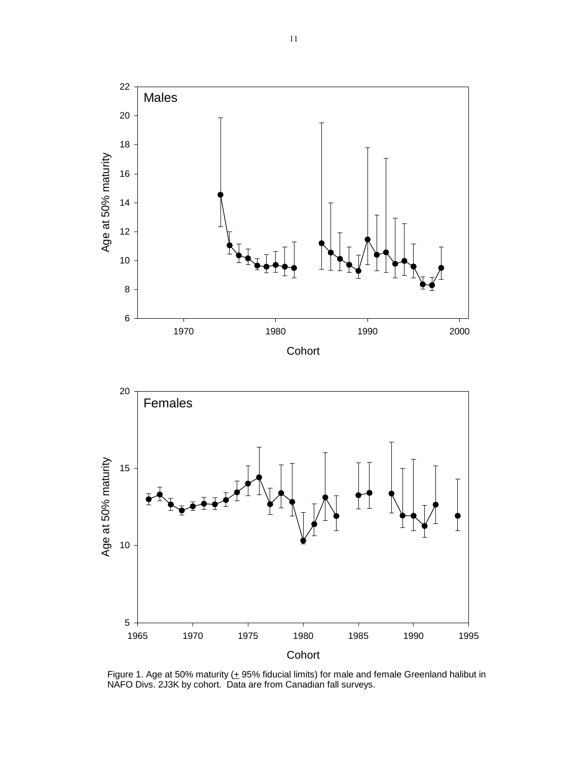

Figure 1. Age at 50% maturity  $(± 95%$  fiducial limits) for male and female Greenland halibut in NAFO Divs. 2J3K by cohort. Data are from Canadian fall surveys.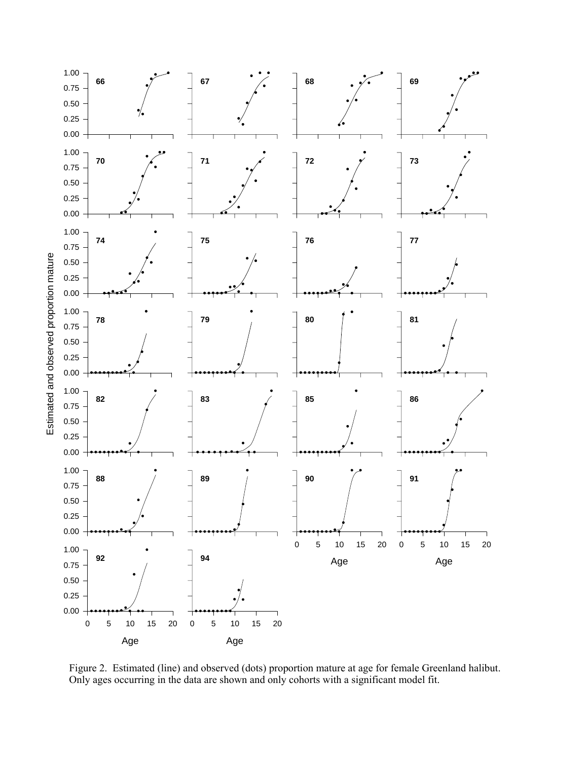

Figure 2. Estimated (line) and observed (dots) proportion mature at age for female Greenland halibut. Only ages occurring in the data are shown and only cohorts with a significant model fit.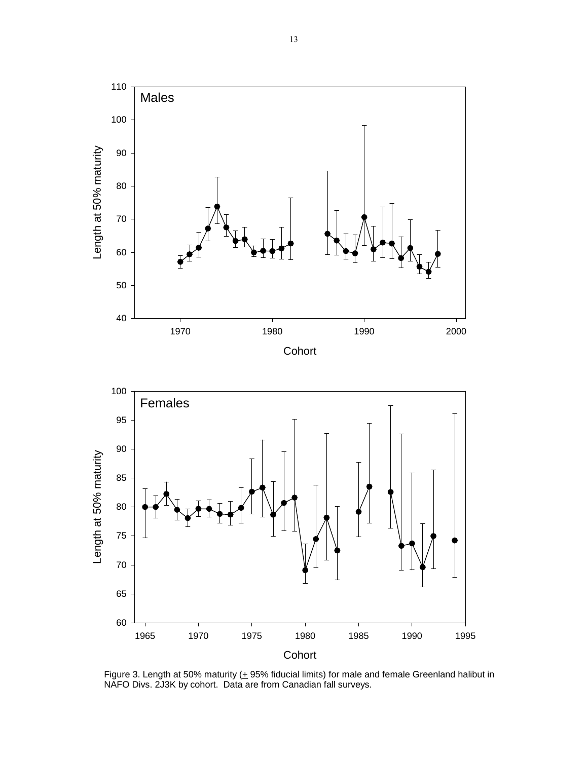

Figure 3. Length at 50% maturity  $(+ 95\%$  fiducial limits) for male and female Greenland halibut in NAFO Divs. 2J3K by cohort. Data are from Canadian fall surveys.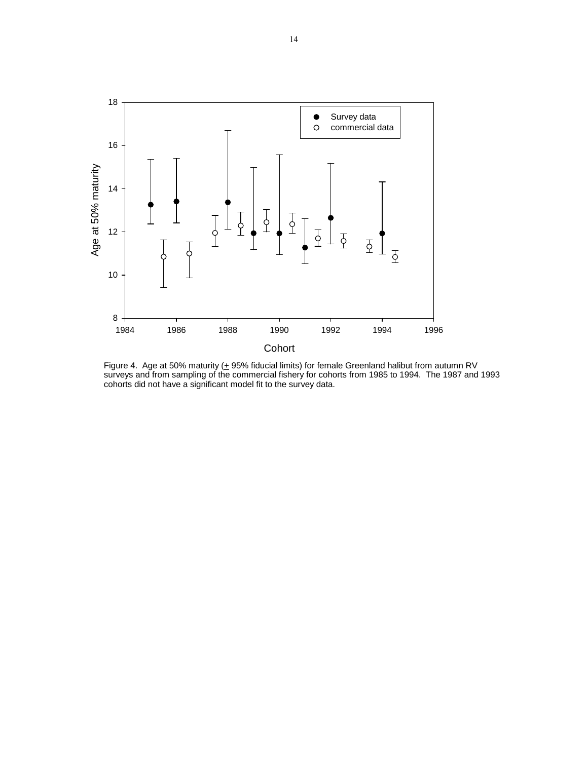

Figure 4. Age at 50% maturity ( $\pm$  95% fiducial limits) for female Greenland halibut from autumn RV surveys and from sampling of the commercial fishery for cohorts from 1985 to 1994. The 1987 and 1993 cohorts did not have a significant model fit to the survey data.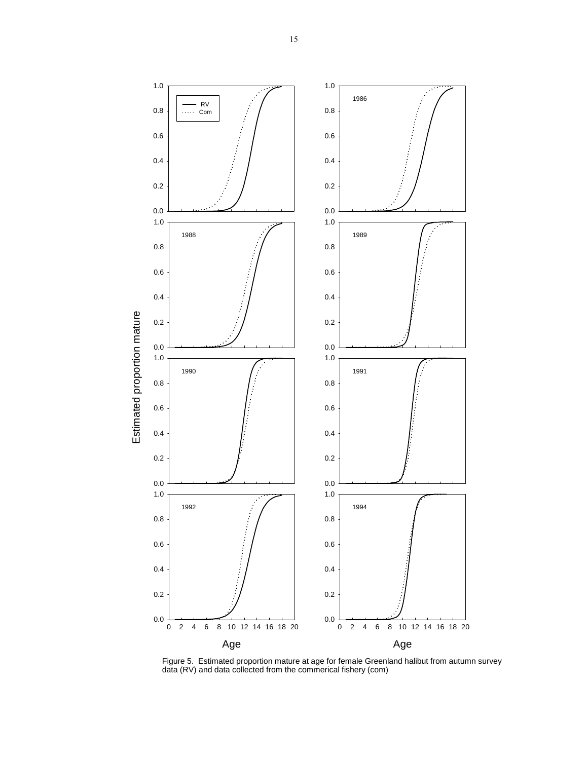

Figure 5. Estimated proportion mature at age for female Greenland halibut from autumn survey data (RV) and data collected from the commerical fishery (com)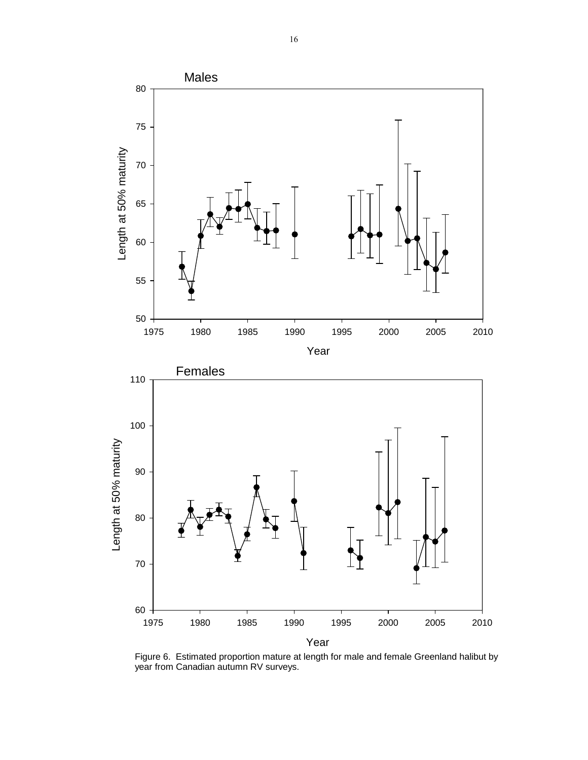

Figure 6. Estimated proportion mature at length for male and female Greenland halibut by year from Canadian autumn RV surveys.